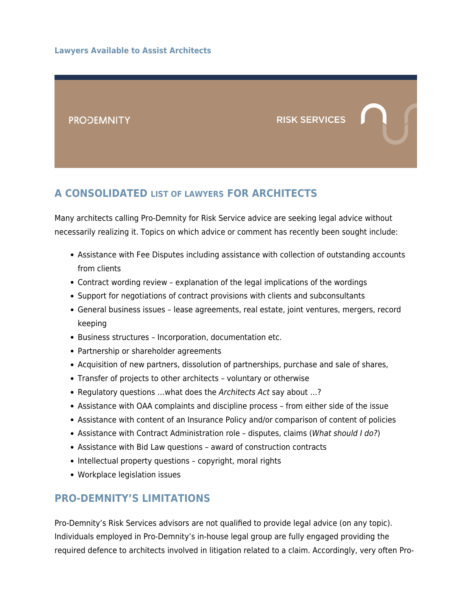

### **A CONSOLIDATED [LIST OF LAWYERS](#page--1-0) FOR ARCHITECTS**

Many architects calling Pro-Demnity for Risk Service advice are seeking legal advice without necessarily realizing it. Topics on which advice or comment has recently been sought include:

- Assistance with Fee Disputes including assistance with collection of outstanding accounts from clients
- Contract wording review explanation of the legal implications of the wordings
- Support for negotiations of contract provisions with clients and subconsultants
- General business issues lease agreements, real estate, joint ventures, mergers, record keeping
- Business structures Incorporation, documentation etc.
- Partnership or shareholder agreements
- Acquisition of new partners, dissolution of partnerships, purchase and sale of shares,
- Transfer of projects to other architects voluntary or otherwise
- Regulatory questions …what does the Architects Act say about …?
- Assistance with OAA complaints and discipline process from either side of the issue
- Assistance with content of an Insurance Policy and/or comparison of content of policies
- Assistance with Contract Administration role disputes, claims (What should I do?)
- Assistance with Bid Law questions award of construction contracts
- Intellectual property questions copyright, moral rights
- Workplace legislation issues

#### **PRO-DEMNITY'S LIMITATIONS**

Pro-Demnity's Risk Services advisors are not qualified to provide legal advice (on any topic). Individuals employed in Pro-Demnity's in-house legal group are fully engaged providing the required defence to architects involved in litigation related to a claim. Accordingly, very often Pro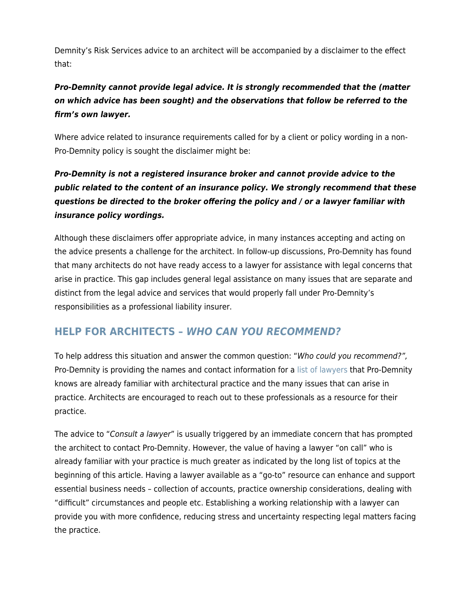Demnity's Risk Services advice to an architect will be accompanied by a disclaimer to the effect that:

### *Pro-Demnity cannot provide legal advice. It is strongly recommended that the (matter on which advice has been sought) and the observations that follow be referred to the firm's own lawyer.*

Where advice related to insurance requirements called for by a client or policy wording in a non-Pro-Demnity policy is sought the disclaimer might be:

### *Pro-Demnity is not a registered insurance broker and cannot provide advice to the public related to the content of an insurance policy. We strongly recommend that these questions be directed to the broker offering the policy and / or a lawyer familiar with insurance policy wordings.*

Although these disclaimers offer appropriate advice, in many instances accepting and acting on the advice presents a challenge for the architect. In follow-up discussions, Pro-Demnity has found that many architects do not have ready access to a lawyer for assistance with legal concerns that arise in practice. This gap includes general legal assistance on many issues that are separate and distinct from the legal advice and services that would properly fall under Pro-Demnity's responsibilities as a professional liability insurer.

## **HELP FOR ARCHITECTS –** *WHO CAN YOU RECOMMEND?*

To help address this situation and answer the common question: "Who could you recommend?", Pro-Demnity is providing the names and contact information for a [list of lawyers](#page--1-0) that Pro-Demnity knows are already familiar with architectural practice and the many issues that can arise in practice. Architects are encouraged to reach out to these professionals as a resource for their practice.

The advice to "Consult a lawyer" is usually triggered by an immediate concern that has prompted the architect to contact Pro-Demnity. However, the value of having a lawyer "on call" who is already familiar with your practice is much greater as indicated by the long list of topics at the beginning of this article. Having a lawyer available as a "go-to" resource can enhance and support essential business needs – collection of accounts, practice ownership considerations, dealing with "difficult" circumstances and people etc. Establishing a working relationship with a lawyer can provide you with more confidence, reducing stress and uncertainty respecting legal matters facing the practice.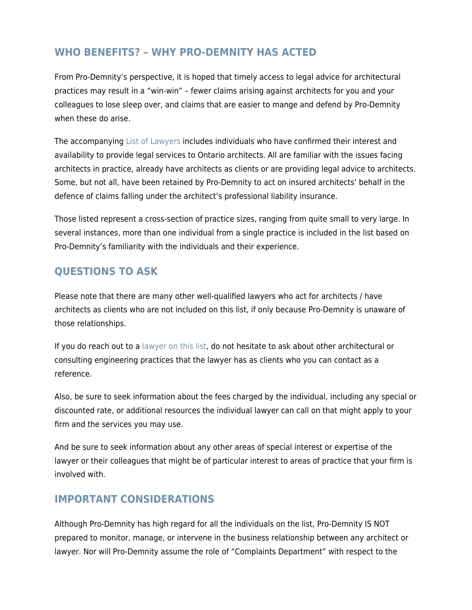#### **WHO BENEFITS? – WHY PRO-DEMNITY HAS ACTED**

From Pro-Demnity's perspective, it is hoped that timely access to legal advice for architectural practices may result in a "win-win" – fewer claims arising against architects for you and your colleagues to lose sleep over, and claims that are easier to mange and defend by Pro-Demnity when these do arise.

The accompanying [List of Lawyers](#page--1-0) includes individuals who have confirmed their interest and availability to provide legal services to Ontario architects. All are familiar with the issues facing architects in practice, already have architects as clients or are providing legal advice to architects. Some, but not all, have been retained by Pro-Demnity to act on insured architects' behalf in the defence of claims falling under the architect's professional liability insurance.

Those listed represent a cross-section of practice sizes, ranging from quite small to very large. In several instances, more than one individual from a single practice is included in the list based on Pro-Demnity's familiarity with the individuals and their experience.

## **QUESTIONS TO ASK**

Please note that there are many other well-qualified lawyers who act for architects / have architects as clients who are not included on this list, if only because Pro-Demnity is unaware of those relationships.

If you do reach out to a [lawyer on this list,](#page--1-0) do not hesitate to ask about other architectural or consulting engineering practices that the lawyer has as clients who you can contact as a reference.

Also, be sure to seek information about the fees charged by the individual, including any special or discounted rate, or additional resources the individual lawyer can call on that might apply to your firm and the services you may use.

And be sure to seek information about any other areas of special interest or expertise of the lawyer or their colleagues that might be of particular interest to areas of practice that your firm is involved with.

## **IMPORTANT CONSIDERATIONS**

Although Pro-Demnity has high regard for all the individuals on the list, Pro-Demnity IS NOT prepared to monitor, manage, or intervene in the business relationship between any architect or lawyer. Nor will Pro-Demnity assume the role of "Complaints Department" with respect to the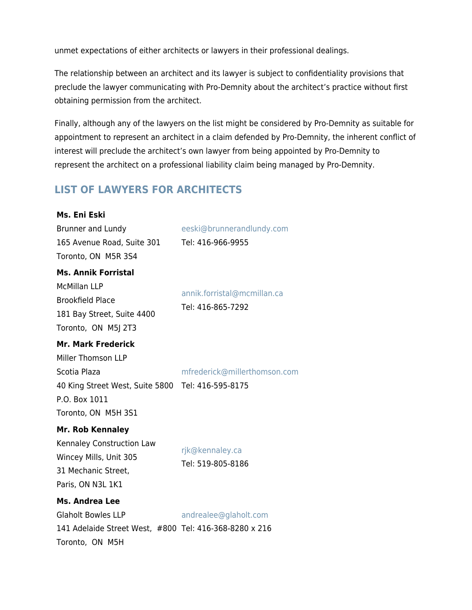unmet expectations of either architects or lawyers in their professional dealings.

The relationship between an architect and its lawyer is subject to confidentiality provisions that preclude the lawyer communicating with Pro-Demnity about the architect's practice without first obtaining permission from the architect.

Finally, although any of the lawyers on the list might be considered by Pro-Demnity as suitable for appointment to represent an architect in a claim defended by Pro-Demnity, the inherent conflict of interest will preclude the architect's own lawyer from being appointed by Pro-Demnity to represent the architect on a professional liability claim being managed by Pro-Demnity.

# **LIST OF LAWYERS FOR ARCHITECTS**

| Ms. Eni Eski                                                                                                                                                 |                                      |
|--------------------------------------------------------------------------------------------------------------------------------------------------------------|--------------------------------------|
| Brunner and Lundy                                                                                                                                            | eeski@brunnerandlundy.com            |
| 165 Avenue Road, Suite 301                                                                                                                                   | Tel: 416-966-9955                    |
| Toronto, ON M5R 3S4                                                                                                                                          |                                      |
| <b>Ms. Annik Forristal</b><br><b>McMillan LLP</b>                                                                                                            | annik.forristal@mcmillan.ca          |
| <b>Brookfield Place</b><br>181 Bay Street, Suite 4400<br>Toronto, ON M5J 2T3                                                                                 | Tel: 416-865-7292                    |
| <b>Mr. Mark Frederick</b><br>Miller Thomson LLP<br>Scotia Plaza<br>40 King Street West, Suite 5800 Tel: 416-595-8175<br>P.O. Box 1011<br>Toronto, ON M5H 3S1 | mfrederick@millerthomson.com         |
| <b>Mr. Rob Kennaley</b><br>Kennaley Construction Law<br>Wincey Mills, Unit 305<br>31 Mechanic Street,<br>Paris, ON N3L 1K1                                   | rjk@kennaley.ca<br>Tel: 519-805-8186 |
| Ms. Andrea Lee<br><b>Glaholt Bowles LLP</b><br>141 Adelaide Street West, #800 Tel: 416-368-8280 x 216<br>Toronto, ON M5H                                     | andrealee@glaholt.com                |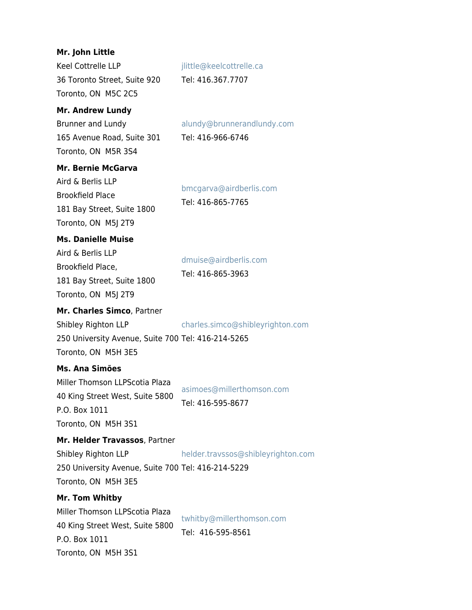| Mr. John Little<br>Keel Cottrelle LLP<br>36 Toronto Street, Suite 920<br>Toronto, ON M5C 2C5<br><b>Mr. Andrew Lundy</b>           | jlittle@keelcottrelle.ca<br>Tel: 416.367.7707   |
|-----------------------------------------------------------------------------------------------------------------------------------|-------------------------------------------------|
| Brunner and Lundy<br>165 Avenue Road, Suite 301<br>Toronto, ON M5R 3S4                                                            | alundy@brunnerandlundy.com<br>Tel: 416-966-6746 |
| <b>Mr. Bernie McGarva</b><br>Aird & Berlis LLP<br><b>Brookfield Place</b><br>181 Bay Street, Suite 1800<br>Toronto, ON M5J 2T9    | bmcgarva@airdberlis.com<br>Tel: 416-865-7765    |
| <b>Ms. Danielle Muise</b><br>Aird & Berlis LLP<br>Brookfield Place,<br>181 Bay Street, Suite 1800<br>Toronto, ON M5J 2T9          | dmuise@airdberlis.com<br>Tel: 416-865-3963      |
| Mr. Charles Simco, Partner<br>Shibley Righton LLP<br>250 University Avenue, Suite 700 Tel: 416-214-5265<br>Toronto, ON M5H 3E5    | charles.simco@shibleyrighton.com                |
| Ms. Ana Simões<br>Miller Thomson LLPScotia Plaza<br>40 King Street West, Suite 5800<br>P.O. Box 1011<br>Toronto, ON M5H 3S1       | asimoes@millerthomson.com<br>Tel: 416-595-8677  |
| Mr. Helder Travassos, Partner<br>Shibley Righton LLP<br>250 University Avenue, Suite 700 Tel: 416-214-5229<br>Toronto, ON M5H 3E5 | helder.travssos@shibleyrighton.com              |
| Mr. Tom Whitby<br>Miller Thomson LLPScotia Plaza<br>40 King Street West, Suite 5800<br>P.O. Box 1011<br>Toronto, ON M5H 3S1       | twhitby@millerthomson.com<br>Tel: 416-595-8561  |